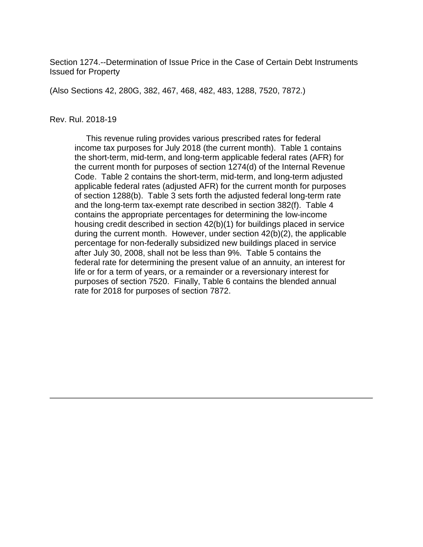Section 1274.--Determination of Issue Price in the Case of Certain Debt Instruments Issued for Property

(Also Sections 42, 280G, 382, 467, 468, 482, 483, 1288, 7520, 7872.)

#### Rev. Rul. 2018-19

 This revenue ruling provides various prescribed rates for federal income tax purposes for July 2018 (the current month). Table 1 contains the short-term, mid-term, and long-term applicable federal rates (AFR) for the current month for purposes of section 1274(d) of the Internal Revenue Code. Table 2 contains the short-term, mid-term, and long-term adjusted applicable federal rates (adjusted AFR) for the current month for purposes of section 1288(b). Table 3 sets forth the adjusted federal long-term rate and the long-term tax-exempt rate described in section 382(f). Table 4 contains the appropriate percentages for determining the low-income housing credit described in section 42(b)(1) for buildings placed in service during the current month. However, under section 42(b)(2), the applicable percentage for non-federally subsidized new buildings placed in service after July 30, 2008, shall not be less than 9%. Table 5 contains the federal rate for determining the present value of an annuity, an interest for life or for a term of years, or a remainder or a reversionary interest for purposes of section 7520. Finally, Table 6 contains the blended annual rate for 2018 for purposes of section 7872.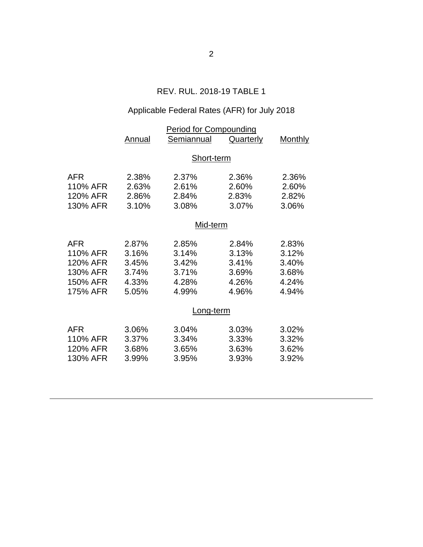### REV. RUL. 2018-19 TABLE 1

# Applicable Federal Rates (AFR) for July 2018

|                      | Annual         | <b>Period for Compounding</b><br>Semiannual | <b>Quarterly</b> | <b>Monthly</b> |  |
|----------------------|----------------|---------------------------------------------|------------------|----------------|--|
|                      |                |                                             |                  |                |  |
|                      | Short-term     |                                             |                  |                |  |
| <b>AFR</b>           | 2.38%          | 2.37%                                       | 2.36%            | 2.36%          |  |
| 110% AFR             | 2.63%          | 2.61%                                       | 2.60%            | 2.60%          |  |
| 120% AFR             | 2.86%          | 2.84%                                       | 2.83%            | 2.82%          |  |
| 130% AFR             | 3.10%          | 3.08%                                       | 3.07%            | 3.06%          |  |
|                      | Mid-term       |                                             |                  |                |  |
| <b>AFR</b>           | 2.87%          | 2.85%                                       | 2.84%            | 2.83%          |  |
| 110% AFR             | 3.16%          | 3.14%                                       | 3.13%            | 3.12%          |  |
| 120% AFR             | 3.45%          | 3.42%                                       | 3.41%            | 3.40%          |  |
| 130% AFR             | 3.74%          | 3.71%                                       | 3.69%            | 3.68%          |  |
| 150% AFR             | 4.33%          | 4.28%                                       | 4.26%            | 4.24%          |  |
| 175% AFR             | 5.05%          | 4.99%                                       | 4.96%            | 4.94%          |  |
|                      | Long-term      |                                             |                  |                |  |
| <b>AFR</b>           | 3.06%          | 3.04%                                       | 3.03%            | 3.02%          |  |
| 110% AFR<br>120% AFR | 3.37%          | 3.34%                                       | 3.33%            | 3.32%<br>3.62% |  |
| 130% AFR             | 3.68%<br>3.99% | 3.65%<br>3.95%                              | 3.63%<br>3.93%   | 3.92%          |  |
|                      |                |                                             |                  |                |  |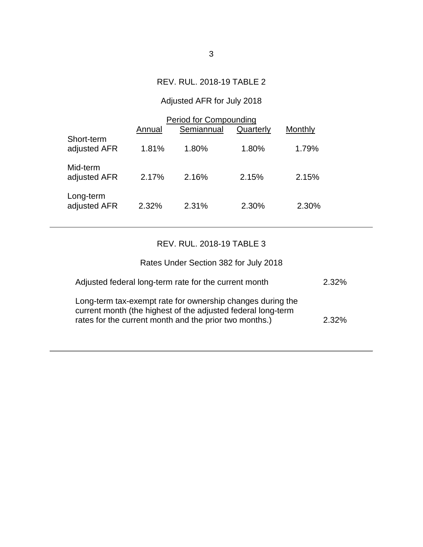### REV. RUL. 2018-19 TABLE 2

# Adjusted AFR for July 2018

|                            | Annual | Period for Compounding<br>Semiannual | Quarterly | Monthly |
|----------------------------|--------|--------------------------------------|-----------|---------|
| Short-term<br>adjusted AFR | 1.81%  | 1.80%                                | 1.80%     | 1.79%   |
| Mid-term<br>adjusted AFR   | 2.17%  | 2.16%                                | 2.15%     | 2.15%   |
| Long-term<br>adjusted AFR  | 2.32%  | 2.31%                                | 2.30%     | 2.30%   |

#### REV. RUL. 2018-19 TABLE 3

| Rates Under Section 382 for July 2018                                                                                                                                                |          |
|--------------------------------------------------------------------------------------------------------------------------------------------------------------------------------------|----------|
| Adjusted federal long-term rate for the current month                                                                                                                                | $2.32\%$ |
| Long-term tax-exempt rate for ownership changes during the<br>current month (the highest of the adjusted federal long-term<br>rates for the current month and the prior two months.) | $2.32\%$ |